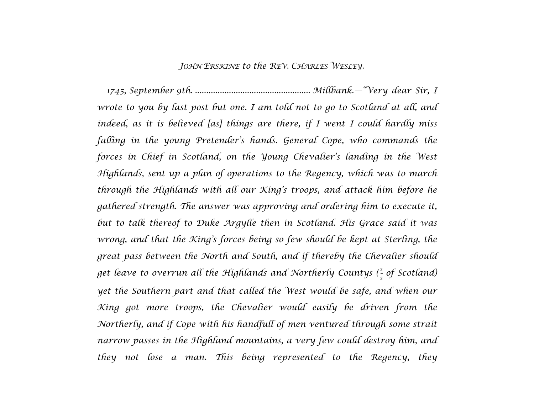## *JOHN ERSKINE to the REV. CHARLES WESLEY.*

*1745, September 9th. ................................................... Millbank.—"Very dear Sir, I wrote to you by last post but one. I am told not to go to Scotland at all, and indeed, as it is believed [as] things are there, if I went I could hardly miss falling in the young Pretender's hands. General Cope, who commands the forces in Chief in Scotland, on the Young Chevalier's landing in the West Highlands, sent up a plan of operations to the Regency, which was to march through the Highlands with all our King's troops, and attack him before he gathered strength. The answer was approving and ordering him to execute it, but to talk thereof to Duke Argylle then in Scotland. His Grace said it was wrong, and that the King's forces being so few should be kept at Sterling, the great pass between the North and South, and if thereby the Chevalier should* get leave to overrun all the Highlands and Northerly Countys ( $\frac{2}{3}$  of Scotland) *yet the Southern part and that called the West would be safe, and when our King got more troops, the Chevalier would easily be driven from the Northerly, and if Cope with his handfull of men ventured through some strait narrow passes in the Highland mountains, a very few could destroy him, and they not lose a man. This being represented to the Regency, they*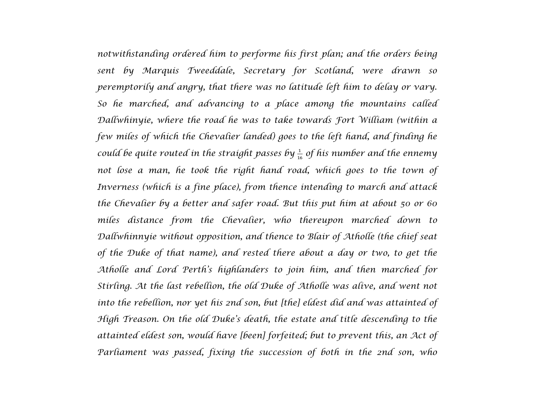*notwithstanding ordered him to performe his first plan; and the orders being sent by Marquis Tweeddale, Secretary for Scotland, were drawn so peremptorily and angry, that there was no latitude left him to delay or vary. So he marched, and advancing to a place among the mountains called Dallwhinyie, where the road he was to take towards Fort William (within a few miles of which the Chevalier landed) goes to the left hand, and finding he could be quite routed in the straight passes by* <sup>1</sup> <sup>16</sup> *of his number and the ennemy not lose a man, he took the right hand road, which goes to the town of Inverness (which is a fine place), from thence intending to march and attack the Chevalier by a better and safer road. But this put him at about 50 or 60 miles distance from the Chevalier, who thereupon marched down to Dallwhinnyie without opposition, and thence to Blair of Atholle (the chief seat of the Duke of that name), and rested there about a day or two, to get the Atholle and Lord Perth's highlanders to join him, and then marched for Stirling. At the last rebellion, the old Duke of Atholle was alive, and went not into the rebellion, nor yet his 2nd son, but [the] eldest did and was attainted of High Treason. On the old Duke's death, the estate and title descending to the attainted eldest son, would have [been] forfeited; but to prevent this, an Act of Parliament was passed, fixing the succession of both in the 2nd son, who*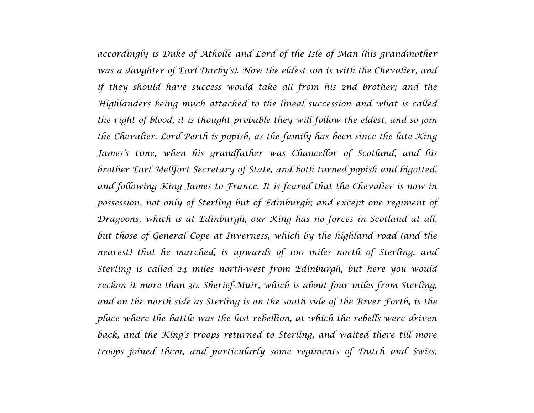*accordingly is Duke of Atholle and Lord of the Isle of Man (his grandmother was a daughter of Earl Darby's). Now the eldest son is with the Chevalier, and if they should have success would take all from his 2nd brother; and the Highlanders being much attached to the lineal succession and what is called the right of blood, it is thought probable they will follow the eldest, and so join the Chevalier. Lord Perth is popish, as the family has been since the late King James's time, when his grandfather was Chancellor of Scotland, and his brother Earl Mellfort Secretary of State, and both turned popish and bigotted, and following King James to France. It is feared that the Chevalier is now in possession, not only of Sterling but of Edinburgh; and except one regiment of Dragoons, which is at Edinburgh, our King has no forces in Scotland at all, but those of General Cope at Inverness, which by the highland road (and the nearest) that he marched, is upwards of 100 miles north of Sterling, and Sterling is called 24 miles north-west from Edinburgh, but here you would reckon it more than 30. Sherief-Muir, which is about four miles from Sterling, and on the north side as Sterling is on the south side of the River Forth, is the place where the battle was the last rebellion, at which the rebells were driven back, and the King's troops returned to Sterling, and waited there till more troops joined them, and particularly some regiments of Dutch and Swiss,*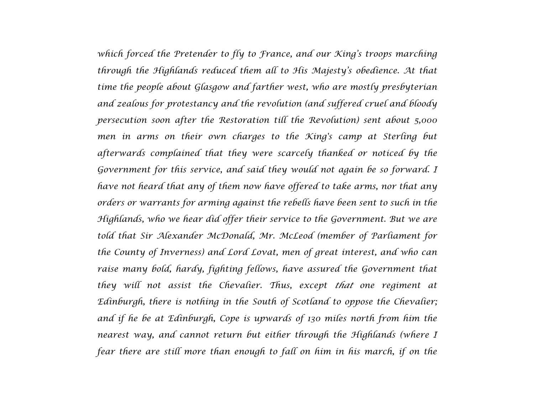*which forced the Pretender to fly to France, and our King's troops marching through the Highlands reduced them all to His Majesty's obedience. At that time the people about Glasgow and farther west, who are mostly presbyterian and zealous for protestancy and the revolution (and suffered cruel and bloody persecution soon after the Restoration till the Revolution) sent about 5,000 men in arms on their own charges to the King's camp at Sterling but afterwards complained that they were scarcely thanked or noticed by the Government for this service, and said they would not again be so forward. I have not heard that any of them now have offered to take arms, nor that any orders or warrants for arming against the rebells have been sent to such in the Highlands, who we hear did offer their service to the Government. But we are told that Sir Alexander McDonald, Mr. McLeod (member of Parliament for the County of Inverness) and Lord Lovat, men of great interest, and who can raise many bold, hardy, fighting fellows, have assured the Government that they will not assist the Chevalier. Thus, except that one regiment at Edinburgh, there is nothing in the South of Scotland to oppose the Chevalier; and if he be at Edinburgh, Cope is upwards of 130 miles north from him the nearest way, and cannot return but either through the Highlands (where I fear there are still more than enough to fall on him in his march, if on the*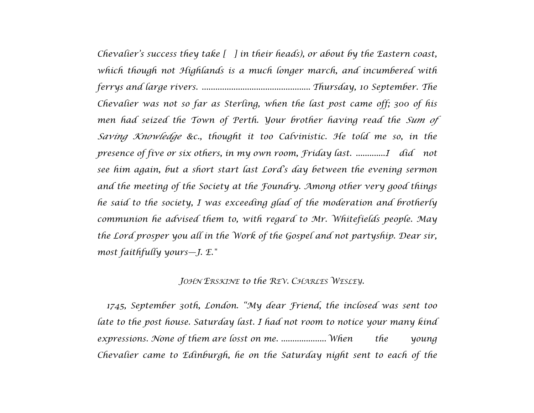*Chevalier's success they take [ ] in their heads), or about by the Eastern coast, which though not Highlands is a much longer march, and incumbered with ferrys and large rivers. ................................................ Thursday, 10 September. The Chevalier was not so far as Sterling, when the last post came off; 300 of his men had seized the Town of Perth. Your brother having read the Sum of Saving Knowledge &c., thought it too Calvinistic. He told me so, in the presence of five or six others, in my own room, Friday last. .............I did not see him again, but a short start last Lord's day between the evening sermon and the meeting of the Society at the Foundry. Among other very good things he said to the society, I was exceeding glad of the moderation and brotherly communion he advised them to, with regard to Mr. Whitefields people. May the Lord prosper you all in the Work of the Gospel and not partyship. Dear sir, most faithfully yours—J. E."*

## *JOHN ERSKINE to the REV. CHARLES WESLEY.*

*1745, September 30th, London. "My dear Friend, the inclosed was sent too late to the post house. Saturday last. I had not room to notice your many kind expressions. None of them are losst on me. ....................When the young Chevalier came to Edinburgh, he on the Saturday night sent to each of the*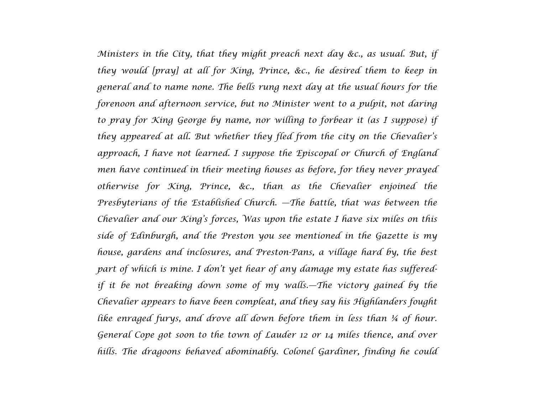*Ministers in the City, that they might preach next day &c., as usual. But, if they would [pray] at all for King, Prince, &c., he desired them to keep in general and to name none. The bells rung next day at the usual hours for the forenoon and afternoon service, but no Minister went to a pulpit, not daring to pray for King George by name, nor willing to forbear it (as I suppose) if they appeared at all. But whether they fled from the city on the Chevalier's approach, I have not learned. I suppose the Episcopal or Church of England men have continued in their meeting houses as before, for they never prayed otherwise for King, Prince, &c., than as the Chevalier enjoined the Presbyterians of the Established Church. —The battle, that was between the Chevalier and our King's forces, Was upon the estate I have six miles on this side of Edinburgh, and the Preston you see mentioned in the Gazette is my house, gardens and inclosures, and Preston-Pans, a village hard by, the best part of which is mine. I don't yet hear of any damage my estate has sufferedif it be not breaking down some of my walls.—The victory gained by the Chevalier appears to have been compleat, and they say his Highlanders fought like enraged furys, and drove all down before them in less than ¼ of hour. General Cope got soon to the town of Lauder 12 or 14 miles thence, and over hills. The dragoons behaved abominably. Colonel Gardiner, finding he could*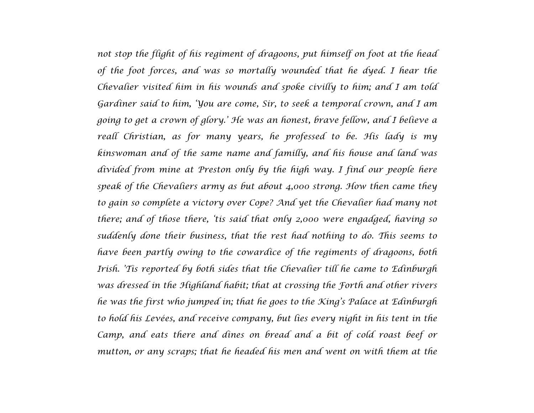*not stop the flight of his regiment of dragoons, put himself on foot at the head of the foot forces, and was so mortally wounded that he dyed. I hear the Chevalier visited him in his wounds and spoke civilly to him; and I am told Gardiner said to him, 'You are come, Sir, to seek a temporal crown, and I am going to get a crown of glory.' He was an honest, brave fellow, and I believe a reall Christian, as for many years, he professed to be. His lady is my kinswoman and of the same name and familly, and his house and land was divided from mine at Preston only by the high way. I find our people here speak of the Chevaliers army as but about 4,000 strong. How then came they to gain so complete a victory over Cope? And yet the Chevalier had many not there; and of those there, 'tis said that only 2,000 were engadged, having so suddenly done their business, that the rest had nothing to do. This seems to have been partly owing to the cowardice of the regiments of dragoons, both Irish. 'Tis reported by both sides that the Chevalier till he came to Edinburgh was dressed in the Highland habit; that at crossing the Forth and other rivers he was the first who jumped in; that he goes to the King's Palace at Edinburgh to hold his Levées, and receive company, but lies every night in his tent in the Camp, and eats there and dines on bread and a bit of cold roast beef or mutton, or any scraps; that he headed his men and went on with them at the*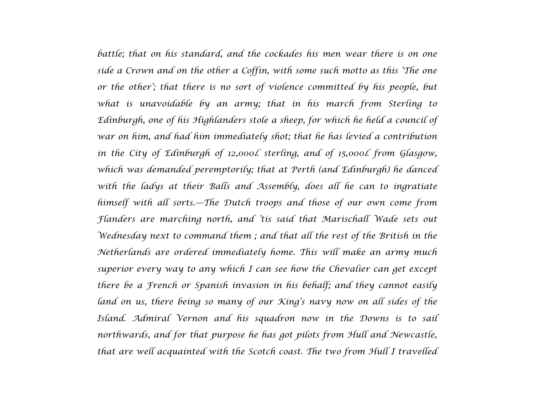battle; that on his standard, and the cockades his men wear there is on one *side a Crown and on the other a Coffin, with some such motto as this 'The one or the other'; that there is no sort of violence committed by his people, but what is unavoidable by an army; that in his march from Sterling to Edinburgh, one of his Highlanders stole a sheep, for which he held a council of war on him, and had him immediately shot; that he has levied a contribution in the City of Edinburgh of 12,000l. sterling, and of 15,000l. from Glasgow, which was demanded peremptorily; that at Perth (and Edinburgh) he danced with the ladys at their Balls and Assembly, does all he can to ingratiate himself with all sorts.—The Dutch troops and those of our own come from Flanders are marching north, and 'tis said that Marischall Wade sets out Wednesday next to command them ; and that all the rest of the British in the Netherlands are ordered immediately home. This will make an army much superior every way to any which I can see how the Chevalier can get except there be a French or Spanish invasion in his behalf; and they cannot easily*  land on us, there being so many of our *King's navy now on all sides of the Island. Admiral Vernon and his squadron now in the Downs is to sail northwards, and for that purpose he has got pilots from Hull and Newcastle, that are well acquainted with the Scotch coast. The two from Hull I travelled*